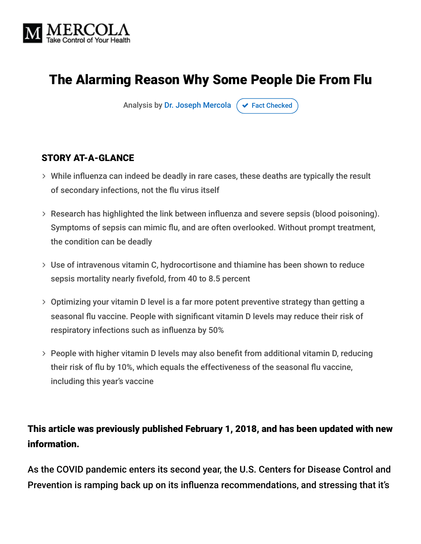

# The Alarming Reason Why Some People Die From Flu

Analysis by [Dr. Joseph Mercola](https://www.mercola.com/forms/background.htm)  $\sigma$  [Fact Checked](javascript:void(0))

#### STORY AT-A-GLANCE

- While influenza can indeed be deadly in rare cases, these deaths are typically the result of secondary infections, not the flu virus itself
- Research has highlighted the link between influenza and severe sepsis (blood poisoning). Symptoms of sepsis can mimic flu, and are often overlooked. Without prompt treatment, the condition can be deadly
- Use of intravenous vitamin C, hydrocortisone and thiamine has been shown to reduce sepsis mortality nearly fivefold, from 40 to 8.5 percent
- Optimizing your vitamin D level is a far more potent preventive strategy than getting a seasonal flu vaccine. People with significant vitamin D levels may reduce their risk of respiratory infections such as influenza by 50%
- People with higher vitamin D levels may also benefit from additional vitamin D, reducing their risk of flu by 10%, which equals the effectiveness of the seasonal flu vaccine, including this year's vaccine

#### This article was previously published February 1, 2018, and has been updated with new information.

As the COVID pandemic enters its second year, the U.S. Centers for Disease Control and Prevention is ramping back up on its influenza recommendations, and stressing that it's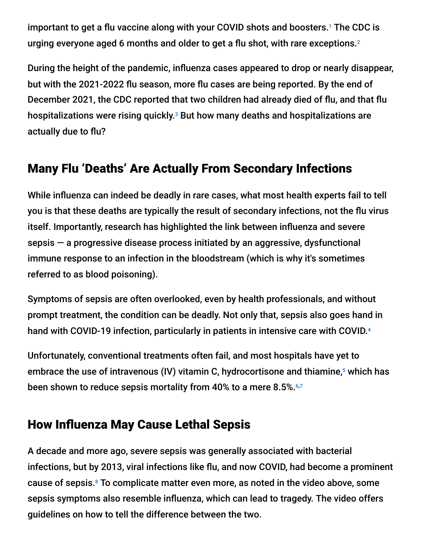important to get a flu vaccine along with your COVID shots and boosters.<sup>1</sup> The CDC is urging everyone aged 6 months and older to get a flu shot, with rare exceptions. 2

During the height of the pandemic, influenza cases appeared to drop or nearly disappear, but with the 2021-2022 flu season, more flu cases are being reported. By the end of December 2021, the CDC reported that two children had already died of flu, and that flu hospitalizations were rising quickly. $^{\text{3}}$  But how many deaths and hospitalizations are actually due to flu?

# Many Flu 'Deaths' Are Actually From Secondary Infections

While influenza can indeed be deadly in rare cases, what most health experts fail to tell you is that these deaths are typically the result of secondary infections, not the flu virus itself. Importantly, research has highlighted the link between influenza and severe sepsis — a progressive disease process initiated by an aggressive, dysfunctional immune response to an infection in the bloodstream (which is why it's sometimes referred to as blood poisoning).

Symptoms of sepsis are often overlooked, even by health professionals, and without prompt treatment, the condition can be deadly. Not only that, sepsis also goes hand in hand with COVID-19 infection, particularly in patients in intensive care with COVID. 4

Unfortunately, conventional treatments often fail, and most hospitals have yet to embrace the use of intravenous (IV) vitamin C, hydrocortisone and thiamine, $^5$  which has been shown to reduce sepsis mortality from 40% to a mere 8.5%. 6,7

#### How Influenza May Cause Lethal Sepsis

A decade and more ago, severe sepsis was generally associated with bacterial infections, but by 2013, viral infections like flu, and now COVID, had become a prominent cause of sepsis.<sup>8</sup> To complicate matter even more, as noted in the video above, some sepsis symptoms also resemble influenza, which can lead to tragedy. The video offers guidelines on how to tell the difference between the two.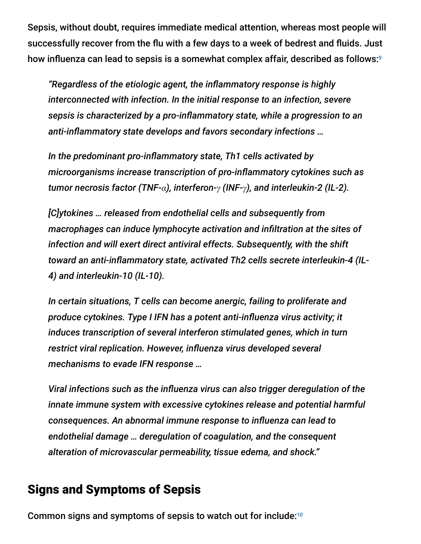Sepsis, without doubt, requires immediate medical attention, whereas most people will successfully recover from the flu with a few days to a week of bedrest and fluids. Just how influenza can lead to sepsis is a somewhat complex affair, described as follows: 9

*"Regardless of the etiologic agent, the inflammatory response is highly interconnected with infection. In the initial response to an infection, severe sepsis is characterized by a pro-inflammatory state, while a progression to an anti-inflammatory state develops and favors secondary infections …*

*In the predominant pro-inflammatory state, Th1 cells activated by microorganisms increase transcription of pro-inflammatory cytokines such as tumor necrosis factor (TNF-α), interferon-γ (INF-γ), and interleukin-2 (IL-2).*

*[C]ytokines … released from endothelial cells and subsequently from macrophages can induce lymphocyte activation and infiltration at the sites of infection and will exert direct antiviral effects. Subsequently, with the shift toward an anti-inflammatory state, activated Th2 cells secrete interleukin-4 (IL-4) and interleukin-10 (IL-10).*

*In certain situations, T cells can become anergic, failing to proliferate and produce cytokines. Type I IFN has a potent anti-influenza virus activity; it induces transcription of several interferon stimulated genes, which in turn restrict viral replication. However, influenza virus developed several mechanisms to evade IFN response …*

*Viral infections such as the influenza virus can also trigger deregulation of the innate immune system with excessive cytokines release and potential harmful consequences. An abnormal immune response to influenza can lead to endothelial damage … deregulation of coagulation, and the consequent alteration of microvascular permeability, tissue edema, and shock."*

#### Signs and Symptoms of Sepsis

Common signs and symptoms of sepsis to watch out for include:<sup>10</sup>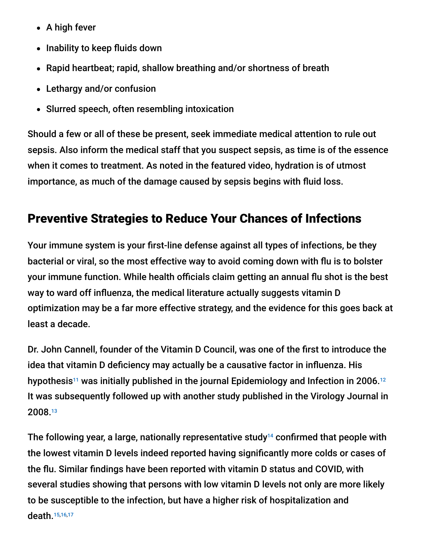- $\bullet$  A high fever
- Inability to keep fluids down
- Rapid heartbeat; rapid, shallow breathing and/or shortness of breath
- Lethargy and/or confusion
- Slurred speech, often resembling intoxication

Should a few or all of these be present, seek immediate medical attention to rule out sepsis. Also inform the medical staff that you suspect sepsis, as time is of the essence when it comes to treatment. As noted in the featured video, hydration is of utmost importance, as much of the damage caused by sepsis begins with fluid loss.

# Preventive Strategies to Reduce Your Chances of Infections

Your immune system is your first-line defense against all types of infections, be they bacterial or viral, so the most effective way to avoid coming down with flu is to bolster your immune function. While health officials claim getting an annual flu shot is the best way to ward off influenza, the medical literature actually suggests vitamin D optimization may be a far more effective strategy, and the evidence for this goes back at least a decade.

Dr. John Cannell, founder of the Vitamin D Council, was one of the first to introduce the idea that vitamin D deficiency may actually be a causative factor in influenza. His hypothesis<sup>11</sup> was initially published in the journal Epidemiology and Infection in 2006.<sup>12</sup> It was subsequently followed up with another study published in the Virology Journal in 2008. 13

The following year, a large, nationally representative study<sup>14</sup> confirmed that people with the lowest vitamin D levels indeed reported having significantly more colds or cases of the flu. Similar findings have been reported with vitamin D status and COVID, with several studies showing that persons with low vitamin D levels not only are more likely to be susceptible to the infection, but have a higher risk of hospitalization and death. 15,16,17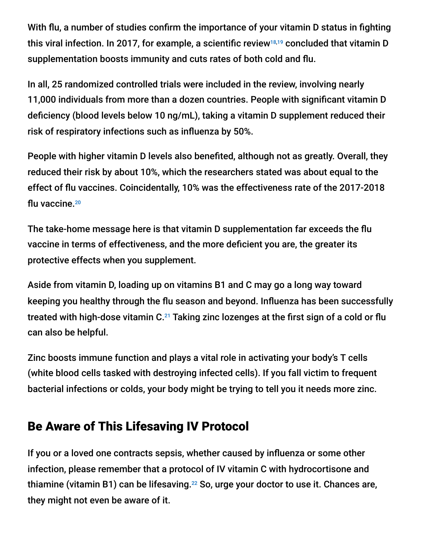With flu, a number of studies confirm the importance of your vitamin D status in fighting this viral infection. In 2017, for example, a scientific review $^{18,19}$  concluded that vitamin D supplementation boosts immunity and cuts rates of both cold and flu.

In all, 25 randomized controlled trials were included in the review, involving nearly 11,000 individuals from more than a dozen countries. People with significant vitamin D deficiency (blood levels below 10 ng/mL), taking a vitamin D supplement reduced their risk of respiratory infections such as influenza by 50%.

People with higher vitamin D levels also benefited, although not as greatly. Overall, they reduced their risk by about 10%, which the researchers stated was about equal to the effect of flu vaccines. Coincidentally, 10% was the effectiveness rate of the 2017-2018 flu vaccine. 20

The take-home message here is that vitamin D supplementation far exceeds the flu vaccine in terms of effectiveness, and the more deficient you are, the greater its protective effects when you supplement.

Aside from vitamin D, loading up on vitamins B1 and C may go a long way toward keeping you healthy through the flu season and beyond. Influenza has been successfully treated with high-dose vitamin C. $^{21}$  Taking zinc lozenges at the first sign of a cold or flu can also be helpful.

Zinc boosts immune function and plays a vital role in activating your body's T cells (white blood cells tasked with destroying infected cells). If you fall victim to frequent bacterial infections or colds, your body might be trying to tell you it needs more zinc.

## Be Aware of This Lifesaving IV Protocol

If you or a loved one contracts sepsis, whether caused by influenza or some other infection, please remember that a protocol of IV vitamin C with hydrocortisone and thiamine (vitamin B1) can be lifesaving. $^{22}$  So, urge your doctor to use it. Chances are, they might not even be aware of it.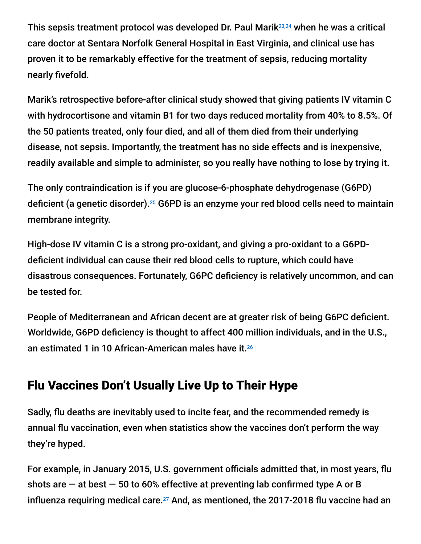This sepsis treatment protocol was developed Dr. Paul Marik<sup>23,24</sup> when he was a critical care doctor at Sentara Norfolk General Hospital in East Virginia, and clinical use has proven it to be remarkably effective for the treatment of sepsis, reducing mortality nearly fivefold.

Marik's retrospective before-after clinical study showed that giving patients IV vitamin C with hydrocortisone and vitamin B1 for two days reduced mortality from 40% to 8.5%. Of the 50 patients treated, only four died, and all of them died from their underlying disease, not sepsis. Importantly, the treatment has no side effects and is inexpensive, readily available and simple to administer, so you really have nothing to lose by trying it.

The only contraindication is if you are glucose-6-phosphate dehydrogenase (G6PD) deficient (a genetic disorder).<sup>25</sup> G6PD is an enzyme your red blood cells need to maintain membrane integrity.

High-dose IV vitamin C is a strong pro-oxidant, and giving a pro-oxidant to a G6PDdeficient individual can cause their red blood cells to rupture, which could have disastrous consequences. Fortunately, G6PC deficiency is relatively uncommon, and can be tested for.

People of Mediterranean and African decent are at greater risk of being G6PC deficient. Worldwide, G6PD deficiency is thought to affect 400 million individuals, and in the U.S., an estimated 1 in 10 African-American males have it. 26

# Flu Vaccines Don't Usually Live Up to Their Hype

Sadly, flu deaths are inevitably used to incite fear, and the recommended remedy is annual flu vaccination, even when statistics show the vaccines don't perform the way they're hyped.

For example, in January 2015, U.S. government officials admitted that, in most years, flu shots are  $-$  at best  $-50$  to 60% effective at preventing lab confirmed type A or B influenza requiring medical care. $^{27}$  And, as mentioned, the 2017-2018 flu vaccine had an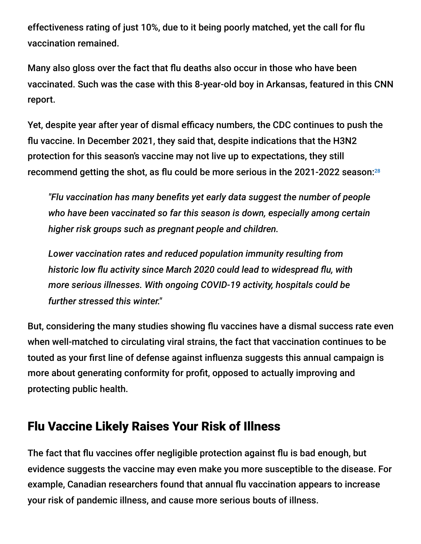effectiveness rating of just 10%, due to it being poorly matched, yet the call for flu vaccination remained.

Many also gloss over the fact that flu deaths also occur in those who have been vaccinated. Such was the case with this 8-year-old boy in Arkansas, featured in this CNN report.

Yet, despite year after year of dismal efficacy numbers, the CDC continues to push the flu vaccine. In December 2021, they said that, despite indications that the H3N2 protection for this season's vaccine may not live up to expectations, they still recommend getting the shot, as flu could be more serious in the 2021-2022 season: 28

*"Flu vaccination has many benefits yet early data suggest the number of people who have been vaccinated so far this season is down, especially among certain higher risk groups such as pregnant people and children.*

*Lower vaccination rates and reduced population immunity resulting from historic low flu activity since March 2020 could lead to widespread flu, with more serious illnesses. With ongoing COVID-19 activity, hospitals could be further stressed this winter."*

But, considering the many studies showing flu vaccines have a dismal success rate even when well-matched to circulating viral strains, the fact that vaccination continues to be touted as your first line of defense against influenza suggests this annual campaign is more about generating conformity for profit, opposed to actually improving and protecting public health.

## Flu Vaccine Likely Raises Your Risk of Illness

The fact that flu vaccines offer negligible protection against flu is bad enough, but evidence suggests the vaccine may even make you more susceptible to the disease. For example, Canadian researchers found that annual flu vaccination appears to increase your risk of pandemic illness, and cause more serious bouts of illness.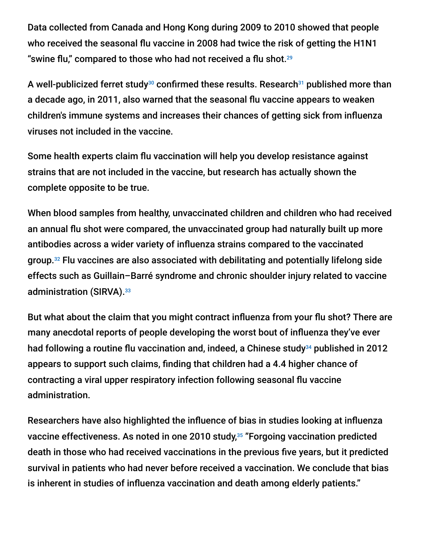Data collected from Canada and Hong Kong during 2009 to 2010 showed that people who received the seasonal flu vaccine in 2008 had twice the risk of getting the H1N1 "swine flu," compared to those who had not received a flu shot. $^{29}$ 

A well-publicized ferret study $^{\scriptscriptstyle 30}$  confirmed these results. Research $^{\scriptscriptstyle 31}$  published more than a decade ago, in 2011, also warned that the seasonal flu vaccine appears to weaken children's immune systems and increases their chances of getting sick from influenza viruses not included in the vaccine.

Some health experts claim flu vaccination will help you develop resistance against strains that are not included in the vaccine, but research has actually shown the complete opposite to be true.

When blood samples from healthy, unvaccinated children and children who had received an annual flu shot were compared, the unvaccinated group had naturally built up more antibodies across a wider variety of influenza strains compared to the vaccinated group. $32$  Flu vaccines are also associated with debilitating and potentially lifelong side effects such as Guillain–Barré syndrome and chronic shoulder injury related to vaccine administration (SIRVA). 33

But what about the claim that you might contract influenza from your flu shot? There are many anecdotal reports of people developing the worst bout of influenza they've ever had following a routine flu vaccination and, indeed, a Chinese study $^{34}$  published in 2012 appears to support such claims, finding that children had a 4.4 higher chance of contracting a viral upper respiratory infection following seasonal flu vaccine administration.

Researchers have also highlighted the influence of bias in studies looking at influenza vaccine effectiveness. As noted in one 2010 study,<sup>35</sup> "Forgoing vaccination predicted death in those who had received vaccinations in the previous five years, but it predicted survival in patients who had never before received a vaccination. We conclude that bias is inherent in studies of influenza vaccination and death among elderly patients."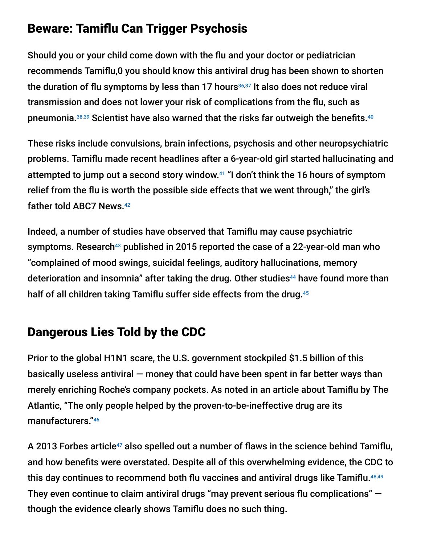### Beware: Tamiflu Can Trigger Psychosis

Should you or your child come down with the flu and your doctor or pediatrician recommends Tamiflu,0 you should know this antiviral drug has been shown to shorten the duration of flu symptoms by less than 17 hours $36,37$  It also does not reduce viral transmission and does not lower your risk of complications from the flu, such as pneumonia.<sup>38,39</sup> Scientist have also warned that the risks far outweigh the benefits.<sup>40</sup>

These risks include convulsions, brain infections, psychosis and other neuropsychiatric problems. Tamiflu made recent headlines after a 6-year-old girl started hallucinating and attempted to jump out a second story window.<sup>41</sup> "I don't think the 16 hours of symptom relief from the flu is worth the possible side effects that we went through," the girl's father told ABC7 News. 42

Indeed, a number of studies have observed that Tamiflu may cause psychiatric symptoms. Research $^{43}$  published in 2015 reported the case of a 22-year-old man who "complained of mood swings, suicidal feelings, auditory hallucinations, memory deterioration and insomnia" after taking the drug. Other studies<sup>44</sup> have found more than half of all children taking Tamiflu suffer side effects from the drug. 45

# Dangerous Lies Told by the CDC

Prior to the global H1N1 scare, the U.S. government stockpiled \$1.5 billion of this basically useless antiviral  $-$  money that could have been spent in far better ways than merely enriching Roche's company pockets. As noted in an article about Tamiflu by The Atlantic, "The only people helped by the proven-to-be-ineffective drug are its manufacturers." 46

A 2013 Forbes article $^{47}$  also spelled out a number of flaws in the science behind Tamiflu, and how benefits were overstated. Despite all of this overwhelming evidence, the CDC to this day continues to recommend both flu vaccines and antiviral drugs like Tamiflu. 48,49They even continue to claim antiviral drugs "may prevent serious flu complications"  $$ though the evidence clearly shows Tamiflu does no such thing.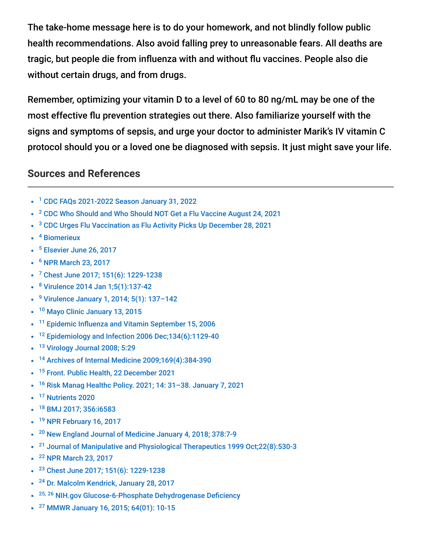The take-home message here is to do your homework, and not blindly follow public health recommendations. Also avoid falling prey to unreasonable fears. All deaths are tragic, but people die from influenza with and without flu vaccines. People also die without certain drugs, and from drugs.

Remember, optimizing your vitamin D to a level of 60 to 80 ng/mL may be one of the most effective flu prevention strategies out there. Also familiarize yourself with the signs and symptoms of sepsis, and urge your doctor to administer Marik's IV vitamin C protocol should you or a loved one be diagnosed with sepsis. It just might save your life.

#### **Sources and References**

- <sup>1</sup> [CDC FAQs 2021-2022 Season January 31, 2022](https://www.cdc.gov/flu/season/faq-flu-season-2021-2022.htm)
- <sup>2</sup> [CDC Who Should and Who Should NOT Get a Flu Vaccine August 24, 2021](https://www.cdc.gov/flu/prevent/whoshouldvax.htm)
- <sup>3</sup> [CDC Urges Flu Vaccination as Flu Activity Picks Up December 28, 2021](https://www.cdc.gov/flu/spotlights/2021-2022/flu-activity-picks-up.htm)
- <sup>4</sup> [Biomerieux](https://www.biofiredx.com/blog/link-between-covid-19-sepsis/)
- <sup>5</sup> [Elsevier June 26, 2017](https://www.elsevier.com/about/press-releases/research-and-journals/readily-available-drug-cocktail-can-help-prevent-sepsis-shock-and-death)
- <sup>6</sup> [NPR March 23, 2017](http://www.npr.org/sections/health-shots/2017/03/23/521096488/doctor-turns-up-possible-treatment-for-deadly-sepsis)
- <sup>7</sup> [Chest June 2017; 151\(6\): 1229-1238](http://www.sciencedirect.com/science/article/pii/S0012369216625643)
- <sup>8</sup> [Virulence 2014 Jan 1;5\(1\):137-42](https://pubmed.ncbi.nlm.nih.gov/24253109/)
- <sup>9</sup> Virulence January 1, 2014; 5(1): 137-142
- <sup>10</sup> [Mayo Clinic January 13, 2015](https://newsnetwork.mayoclinic.org/discussion/influenza-and-sepsis-mayo-expert-describes-warning-signs-of-severe-sepsis-septic-shock/)
- <sup>11</sup> [Epidemic Influenza and Vitamin September 15, 2006](http://www.whale.to/a/cannell.html)
- <sup>12</sup> Epidemiology and Infection 2006 Dec; 134(6): 1129-40
- <sup>13</sup> [Virology Journal 2008; 5:29](http://www.virologyj.com/content/5/1/29)
- <sup>14</sup> [Archives of Internal Medicine 2009;169\(4\):384-390](http://jamanetwork.com/journals/jamainternalmedicine/fullarticle/414815)
- <sup>15</sup> [Front. Public Health, 22 December 2021](https://www.frontiersin.org/articles/10.3389/fpubh.2021.736665/full)
- <sup>16</sup> Risk Manag Healthc Policy. 2021; 14: 31-38. January 7, 2021
- <sup>17</sup> [Nutrients 2020](https://www.mdpi.com/2072-6643/12/11/3361/pdf)
- [BMJ 2017; 356:i6583](http://www.bmj.com/content/356/bmj.i6583) 18
- <sup>19</sup> [NPR February 16, 2017](http://www.npr.org/sections/health-shots/2017/02/16/515428944/a-bit-more-vitamin-d-might-reduce-winter-colds-and-flu)
- <sup>20</sup> [New England Journal of Medicine January 4, 2018; 378:7-9](http://www.nejm.org/doi/full/10.1056/NEJMp1714916#t=article)
- <sup>21</sup> [Journal of Manipulative and Physiological Therapeutics 1999 Oct;22\(8\):530-3](https://www.ncbi.nlm.nih.gov/pubmed?orig_db=PubMed&cmd=Search&term=%22Journal+of+manipulative+and+physiological+therapeutics%22%5BJour%5D+AND+530%5Bpage%5D+AND+1999%2F10%5Bpdat%5D)
- <sup>22</sup> [NPR March 23, 2017](http://www.npr.org/sections/health-shots/2017/03/23/521096488/doctor-turns-up-possible-treatment-for-deadly-sepsis)
- <sup>23</sup> [Chest June 2017; 151\(6\): 1229-1238](http://www.sciencedirect.com/science/article/pii/S0012369216625643)
- <sup>24</sup> [Dr. Malcolm Kendrick, January 28, 2017](https://drmalcolmkendrick.org/2017/01/28/vitamin-c-an-update/)
- <sup>25, 26</sup> [NIH.gov Glucose-6-Phosphate Dehydrogenase Deficiency](https://ghr.nlm.nih.gov/condition/glucose-6-phosphate-dehydrogenase-deficiency)
- <sup>27</sup> [MMWR January 16, 2015; 64\(01\): 10-15](http://www.cdc.gov/mmwr/preview/mmwrhtml/mm6401a4.htm)